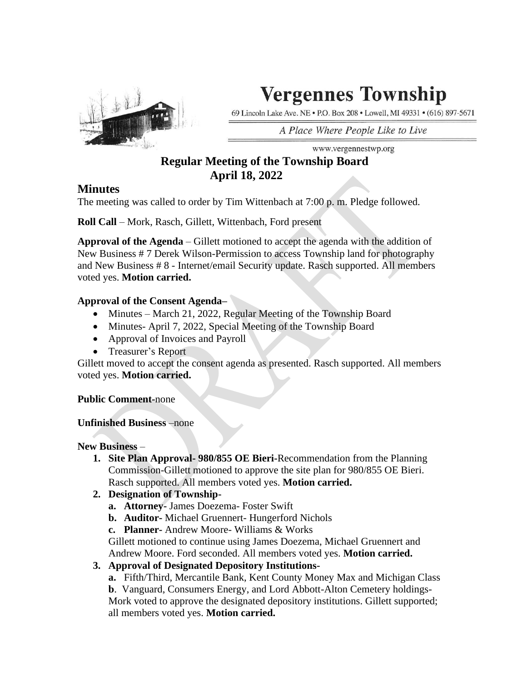

# **Vergennes Township**

69 Lincoln Lake Ave. NE . P.O. Box 208 . Lowell, MI 49331 . (616) 897-5671

A Place Where People Like to Live

www.vergennestwp.org

## **Regular Meeting of the Township Board April 18, 2022**

### **Minutes**

The meeting was called to order by Tim Wittenbach at 7:00 p. m. Pledge followed.

**Roll Call** – Mork, Rasch, Gillett, Wittenbach, Ford present

**Approval of the Agenda** – Gillett motioned to accept the agenda with the addition of New Business # 7 Derek Wilson-Permission to access Township land for photography and New Business # 8 - Internet/email Security update. Rasch supported. All members voted yes. **Motion carried.** 

#### **Approval of the Consent Agenda–**

- Minutes March 21, 2022, Regular Meeting of the Township Board
- Minutes- April 7, 2022, Special Meeting of the Township Board
- Approval of Invoices and Payroll
- Treasurer's Report

Gillett moved to accept the consent agenda as presented. Rasch supported. All members voted yes. **Motion carried.**

#### **Public Comment-**none

#### **Unfinished Business** –none

**New Business** –

- **1. Site Plan Approval- 980/855 OE Bieri-**Recommendation from the Planning Commission-Gillett motioned to approve the site plan for 980/855 OE Bieri. Rasch supported. All members voted yes. **Motion carried.**
- **2. Designation of Township**
	- **a. Attorney-** James Doezema- Foster Swift
	- **b. Auditor-** Michael Gruennert- Hungerford Nichols
	- **c. Planner-** Andrew Moore- Williams & Works

Gillett motioned to continue using James Doezema, Michael Gruennert and Andrew Moore. Ford seconded. All members voted yes. **Motion carried.**

- **3. Approval of Designated Depository Institutions**
	- **a.** Fifth/Third, Mercantile Bank, Kent County Money Max and Michigan Class

**b**. Vanguard, Consumers Energy, and Lord Abbott-Alton Cemetery holdings-Mork voted to approve the designated depository institutions. Gillett supported; all members voted yes. **Motion carried.**